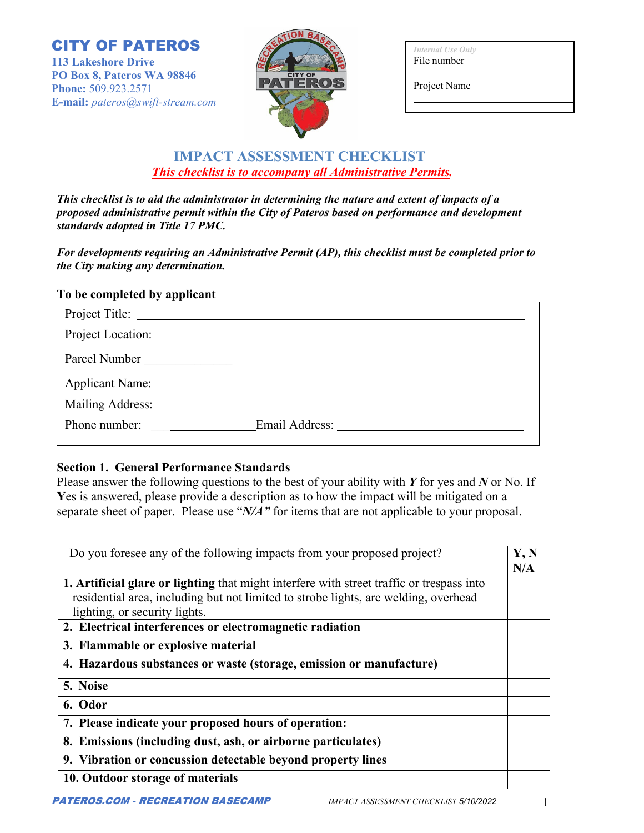CITY OF PATEROS

**113 Lakeshore Drive PO Box 8, Pateros WA 98846 Phone:** 509.923.2571 **E-mail:** *pateros@swift-stream.com*



| Internal Use Only |  |  |  |  |  |  |
|-------------------|--|--|--|--|--|--|
| File number       |  |  |  |  |  |  |

Project Name

# **IMPACT ASSESSMENT CHECKLIST**  *This checklist is to accompany all Administrative Permits.*

*This checklist is to aid the administrator in determining the nature and extent of impacts of a proposed administrative permit within the City of Pateros based on performance and development standards adopted in Title 17 PMC.* 

*For developments requiring an Administrative Permit (AP), this checklist must be completed prior to the City making any determination.* 

## **To be completed by applicant**

| Project Location:                                                                                                                      |                         |
|----------------------------------------------------------------------------------------------------------------------------------------|-------------------------|
| Parcel Number                                                                                                                          |                         |
| Applicant Name: 1988                                                                                                                   |                         |
|                                                                                                                                        |                         |
| Phone number:<br><u> 1990 - Jan Barbara Barat III, marka bashkan a shekara 1991 - 1991 - 1991 - 1991 - 1991 - 1991 - 1991 - 1991 -</u> | Email Address: No. 1996 |

### **Section 1. General Performance Standards**

Please answer the following questions to the best of your ability with *Y* for yes and *N* or No. If **Y**es is answered, please provide a description as to how the impact will be mitigated on a separate sheet of paper. Please use "*N/A"* for items that are not applicable to your proposal.

| Do you foresee any of the following impacts from your proposed project?                   | Y, N<br>N/A |
|-------------------------------------------------------------------------------------------|-------------|
| 1. Artificial glare or lighting that might interfere with street traffic or trespass into |             |
| residential area, including but not limited to strobe lights, arc welding, overhead       |             |
| lighting, or security lights.                                                             |             |
| 2. Electrical interferences or electromagnetic radiation                                  |             |
| 3. Flammable or explosive material                                                        |             |
| 4. Hazardous substances or waste (storage, emission or manufacture)                       |             |
| 5. Noise                                                                                  |             |
| 6. Odor                                                                                   |             |
| 7. Please indicate your proposed hours of operation:                                      |             |
| 8. Emissions (including dust, ash, or airborne particulates)                              |             |
| 9. Vibration or concussion detectable beyond property lines                               |             |
| 10. Outdoor storage of materials                                                          |             |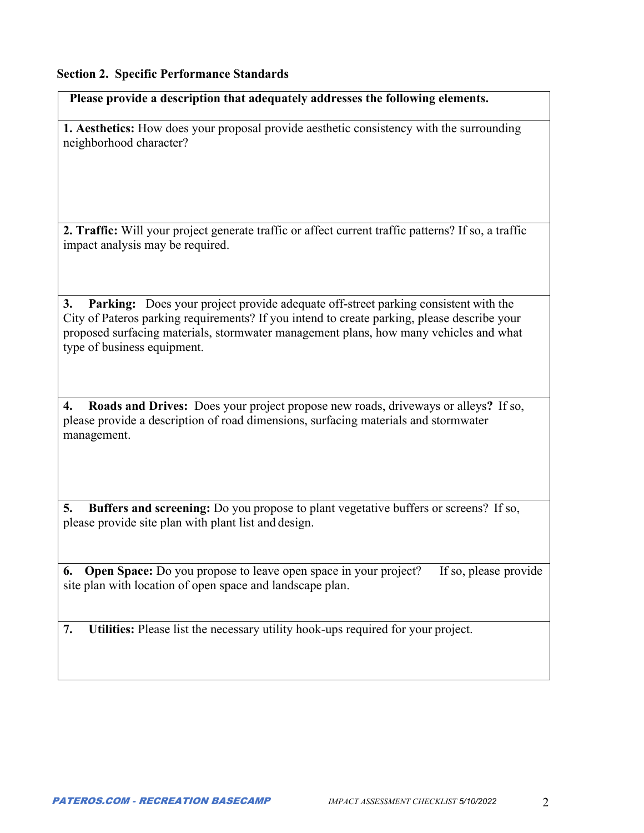#### **Section 2. Specific Performance Standards**

**Please provide a description that adequately addresses the following elements.** 

**1. Aesthetics:** How does your proposal provide aesthetic consistency with the surrounding neighborhood character?

**2. Traffic:** Will your project generate traffic or affect current traffic patterns? If so, a traffic impact analysis may be required.

**3. Parking:** Does your project provide adequate off-street parking consistent with the City of Pateros parking requirements? If you intend to create parking, please describe your proposed surfacing materials, stormwater management plans, how many vehicles and what type of business equipment.

**4. Roads and Drives:** Does your project propose new roads, driveways or alleys**?** If so, please provide a description of road dimensions, surfacing materials and stormwater management.

**5. Buffers and screening:** Do you propose to plant vegetative buffers or screens? If so, please provide site plan with plant list and design.

**6. Open Space:** Do you propose to leave open space in your project? If so, please provide site plan with location of open space and landscape plan.

**7. Utilities:** Please list the necessary utility hook-ups required for your project.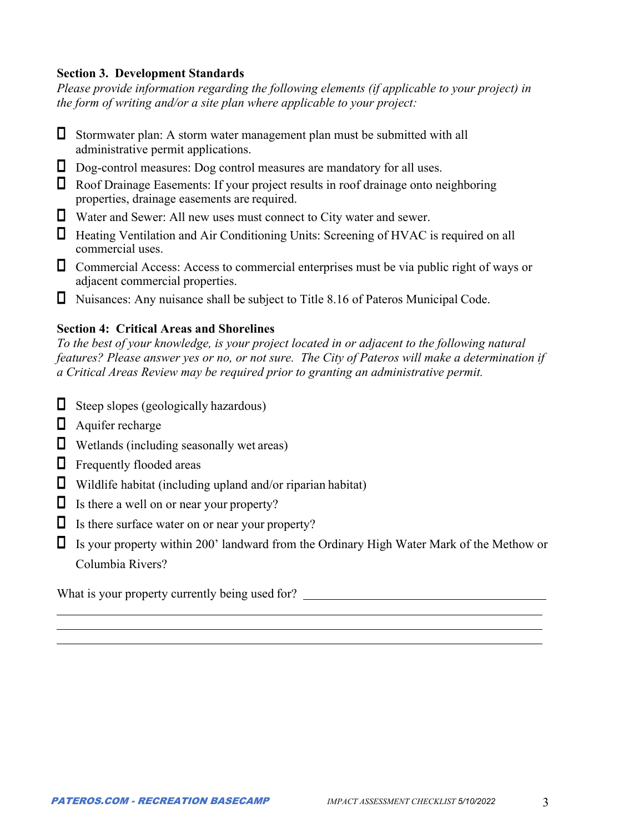### **Section 3. Development Standards**

*Please provide information regarding the following elements (if applicable to your project) in the form of writing and/or a site plan where applicable to your project:* 

- $\Box$  Stormwater plan: A storm water management plan must be submitted with all administrative permit applications.
- Dog-control measures: Dog control measures are mandatory for all uses.
- $\Box$  Roof Drainage Easements: If your project results in roof drainage onto neighboring properties, drainage easements are required.
- Water and Sewer: All new uses must connect to City water and sewer.
- Heating Ventilation and Air Conditioning Units: Screening of HVAC is required on all commercial uses.
- $\Box$  Commercial Access: Access to commercial enterprises must be via public right of ways or adjacent commercial properties.
- Nuisances: Any nuisance shall be subject to Title 8.16 of Pateros Municipal Code.

#### **Section 4: Critical Areas and Shorelines**

*To the best of your knowledge, is your project located in or adjacent to the following natural features? Please answer yes or no, or not sure. The City of Pateros will make a determination if a Critical Areas Review may be required prior to granting an administrative permit.* 

- $\Box$  Steep slopes (geologically hazardous)
- $\Box$  Aquifer recharge
- $\Box$  Wetlands (including seasonally wet areas)
- $\Box$  Frequently flooded areas
- $\Box$  Wildlife habitat (including upland and/or riparian habitat)
- $\Box$  Is there a well on or near your property?
- $\Box$  Is there surface water on or near your property?
- Is your property within 200' landward from the Ordinary High Water Mark of the Methow or Columbia Rivers?

What is your property currently being used for?